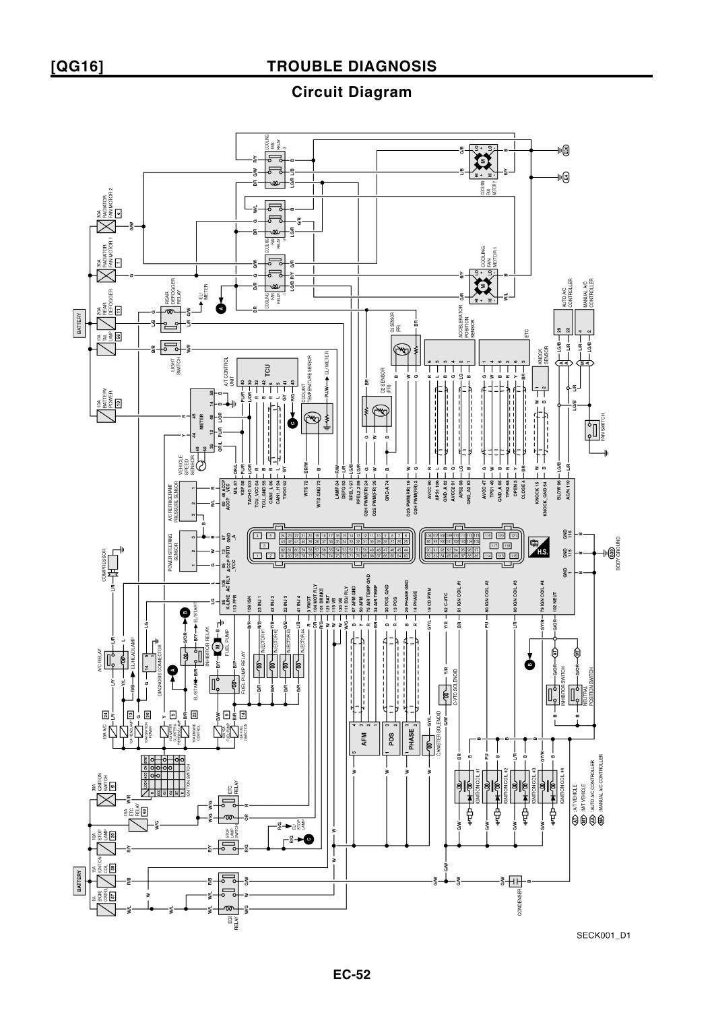**Circuit Diagram**



SECK001\_D1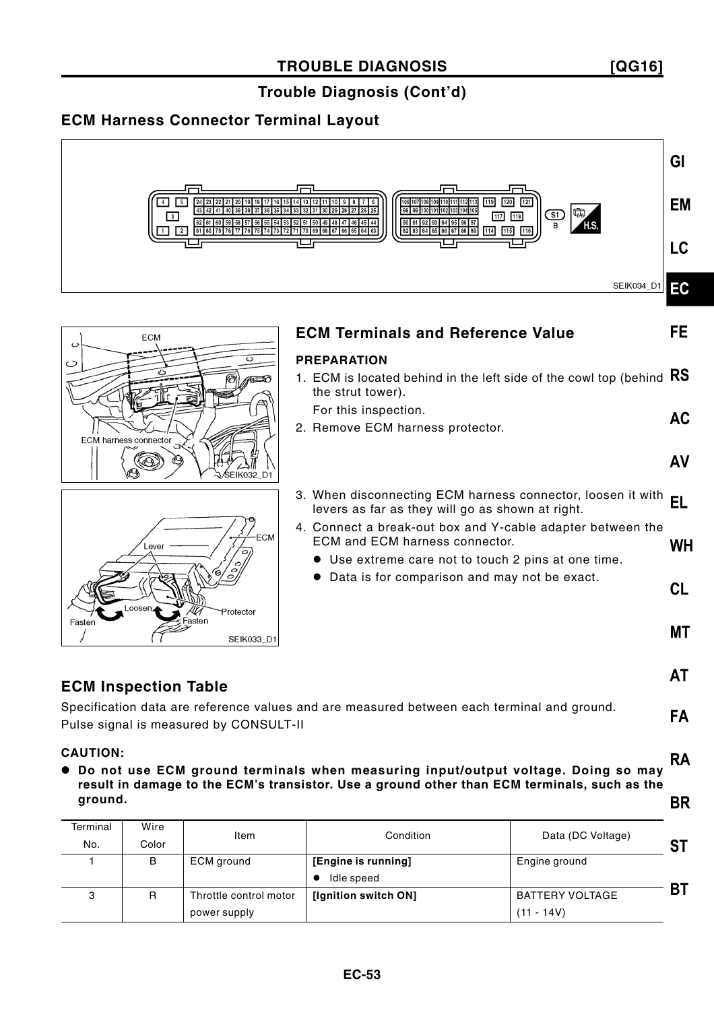**[QG16]**

**FA** 

**RA** 

#### **Trouble Diagnosis (Cont'd)**

#### **ECM Harness Connector Terminal Layout**







| <b>ECM Terminals and Reference Value</b>                                                                                                            | FE        |
|-----------------------------------------------------------------------------------------------------------------------------------------------------|-----------|
| <b>PREPARATION</b>                                                                                                                                  |           |
| 1. ECM is located behind in the left side of the cowl top (behind<br>the strut tower).                                                              | <b>RS</b> |
| For this inspection.                                                                                                                                | AC        |
| 2. Remove ECM harness protector.                                                                                                                    |           |
|                                                                                                                                                     | AV        |
| 3. When disconnecting ECM harness connector, loosen it with<br>levers as far as they will go as shown at right.                                     | EL        |
| 4. Connect a break-out box and Y-cable adapter between the<br>ECM and ECM harness connector.<br>• Use extreme care not to touch 2 pins at one time. | WH        |
| Data is for comparison and may not be exact.                                                                                                        | <b>CL</b> |
|                                                                                                                                                     | МT        |
|                                                                                                                                                     | ΑI        |

#### **ECM Inspection Table**

Specification data are reference values and are measured between each terminal and ground. Pulse signal is measured by CONSULT-II

#### **CAUTION:**

 **Do not use ECM ground terminals when measuring input/output voltage. Doing so may result in damage to the ECM's transistor. Use a ground other than ECM terminals, such as the ground.BR** 

| Terminal | Wire  |                        | Condition            |                        |    |
|----------|-------|------------------------|----------------------|------------------------|----|
| No.      | Color | Item                   |                      | Data (DC Voltage)      | 97 |
|          | В     | ECM ground             | [Engine is running]  | Engine ground          |    |
|          |       |                        | Idle speed           |                        |    |
| 3        | R     | Throttle control motor | [Ignition switch ON] | <b>BATTERY VOLTAGE</b> | BТ |
|          |       | power supply           |                      | $(11 - 14V)$           |    |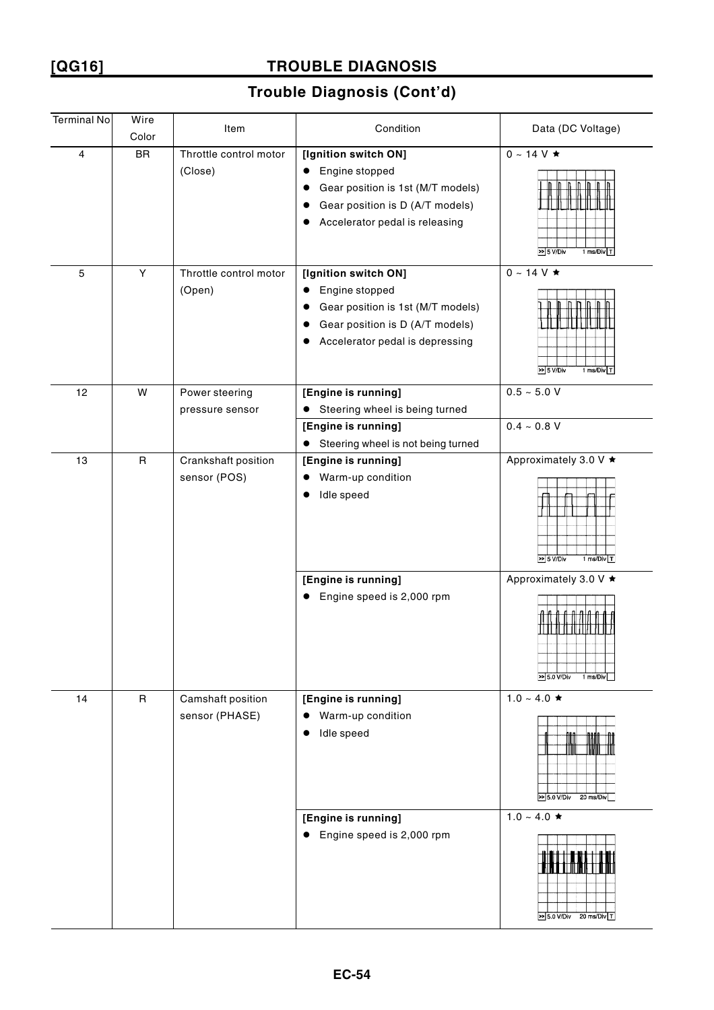**[QG16]**

### **TROUBLE DIAGNOSIS**

| <b>Terminal No</b> | Wire<br>Color | Item                                | Condition                                                                                                                                             | Data (DC Voltage)                                                                                        |
|--------------------|---------------|-------------------------------------|-------------------------------------------------------------------------------------------------------------------------------------------------------|----------------------------------------------------------------------------------------------------------|
| 4                  | <b>BR</b>     | Throttle control motor<br>(Close)   | [Ignition switch ON]<br>Engine stopped<br>Gear position is 1st (M/T models)<br>٠<br>Gear position is D (A/T models)<br>Accelerator pedal is releasing | $0 \sim 14$ V $\star$<br>$\geq$ 5 V/Div<br>1 ms/Div T                                                    |
| $\mathbf 5$        | Υ             | Throttle control motor<br>(Open)    | [Ignition switch ON]<br>Engine stopped<br>Gear position is 1st (M/T models)<br>Gear position is D (A/T models)<br>Accelerator pedal is depressing     | $0 \sim 14$ V $\star$<br>$> 5$ V/Div<br>1 ms/Div T                                                       |
| 12                 | W             | Power steering<br>pressure sensor   | [Engine is running]<br>Steering wheel is being turned<br>$\bullet$<br>[Engine is running]<br>Steering wheel is not being turned                       | $0.5 - 5.0 V$<br>$0.4 - 0.8 V$                                                                           |
| 13                 | $\mathsf R$   | Crankshaft position<br>sensor (POS) | [Engine is running]<br>Warm-up condition<br>Idle speed<br>[Engine is running]<br>Engine speed is 2,000 rpm<br>$\bullet$                               | Approximately 3.0 V ★<br>1 ms/Div $T$<br>>> 5 V/Div<br>Approximately 3.0 V ★<br>>> 5.0 V/Div<br>1 ms/Div |
| 14                 | $\mathsf{R}$  | Camshaft position<br>sensor (PHASE) | [Engine is running]<br>Warm-up condition<br>Idle speed<br>[Engine is running]                                                                         | $1.0 - 4.0 \star$<br>₩<br>$\gg$ 5.0 V/Div<br>20 ms/Div<br>$1.0 \sim 4.0$ ★                               |
|                    |               |                                     | Engine speed is 2,000 rpm<br>$\bullet$                                                                                                                | >> 5.0 V/Div 20 ms/Div T                                                                                 |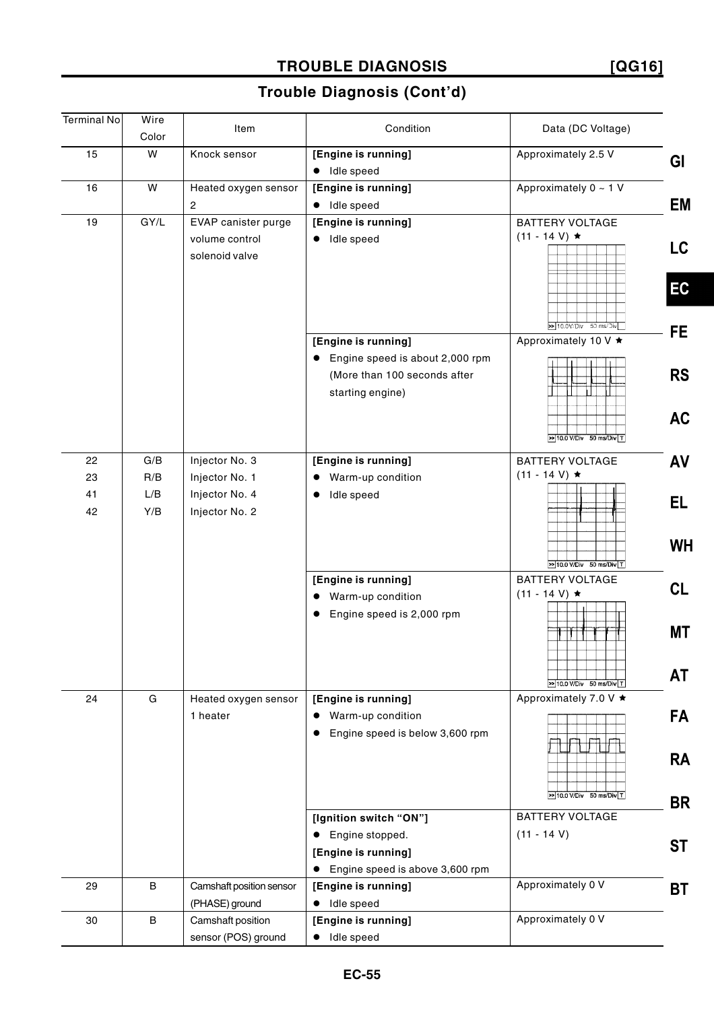# **TROUBLE DIAGNOSIS**

**[QG16]**

| <b>Terminal No</b> | Wire  |                          |                                              |                                                     |           |
|--------------------|-------|--------------------------|----------------------------------------------|-----------------------------------------------------|-----------|
|                    | Color | Item                     | Condition                                    | Data (DC Voltage)                                   |           |
| 15                 | W     | Knock sensor             | [Engine is running]                          | Approximately 2.5 V                                 |           |
|                    |       |                          | · Idle speed                                 |                                                     | GI        |
| 16                 | W     | Heated oxygen sensor     | [Engine is running]                          | Approximately $0 \sim 1$ V                          |           |
|                    |       | $\overline{c}$           | · Idle speed                                 |                                                     | EM        |
| 19                 | GY/L  | EVAP canister purge      | [Engine is running]                          | <b>BATTERY VOLTAGE</b>                              |           |
|                    |       | volume control           | · Idle speed                                 | $(11 - 14 V) \star$                                 |           |
|                    |       | solenoid valve           |                                              |                                                     | LC.       |
|                    |       |                          |                                              |                                                     |           |
|                    |       |                          |                                              |                                                     | EC        |
|                    |       |                          |                                              |                                                     |           |
|                    |       |                          |                                              | >10.0V/Div 50 ms/Div                                | FE.       |
|                    |       |                          | [Engine is running]                          | Approximately 10 V ★                                |           |
|                    |       |                          | Engine speed is about 2,000 rpm<br>$\bullet$ |                                                     |           |
|                    |       |                          | (More than 100 seconds after                 |                                                     | <b>RS</b> |
|                    |       |                          | starting engine)                             |                                                     |           |
|                    |       |                          |                                              |                                                     |           |
|                    |       |                          |                                              |                                                     | <b>AC</b> |
|                    |       |                          |                                              | $\sqrt{10.0 \text{ V/Div} + 50 \text{ ms/Div} + 1}$ |           |
| 22                 | G/B   | Injector No. 3           | [Engine is running]                          | <b>BATTERY VOLTAGE</b>                              | AV        |
| 23                 | R/B   | Injector No. 1           | Warm-up condition<br>$\bullet$               | $(11 - 14 V) \star$                                 |           |
| 41                 | L/B   | Injector No. 4           | Idle speed<br>$\bullet$                      |                                                     | EL        |
| 42                 | Y/B   | Injector No. 2           |                                              |                                                     |           |
|                    |       |                          |                                              |                                                     |           |
|                    |       |                          |                                              |                                                     | <b>WH</b> |
|                    |       |                          |                                              | $\gg$ 10.0 V/Div 50 ms/Div T                        |           |
|                    |       |                          | [Engine is running]                          | <b>BATTERY VOLTAGE</b>                              | CL        |
|                    |       |                          | • Warm-up condition                          | $(11 - 14 V) \star$                                 |           |
|                    |       |                          | Engine speed is 2,000 rpm<br>$\bullet$       |                                                     |           |
|                    |       |                          |                                              |                                                     | <b>MT</b> |
|                    |       |                          |                                              |                                                     |           |
|                    |       |                          |                                              |                                                     |           |
|                    |       |                          |                                              | >> 10.0 V/Div 50 ms/Div T                           | AT        |
| 24                 | G     | Heated oxygen sensor     | [Engine is running]                          | Approximately 7.0 V ★                               |           |
|                    |       | 1 heater                 | Warm-up condition                            |                                                     | <b>FA</b> |
|                    |       |                          | Engine speed is below 3,600 rpm              |                                                     |           |
|                    |       |                          |                                              |                                                     | <b>RA</b> |
|                    |       |                          |                                              |                                                     |           |
|                    |       |                          |                                              | >10.0 V/Div 50 ms/Div T                             |           |
|                    |       |                          |                                              |                                                     | <b>BR</b> |
|                    |       |                          | [Ignition switch "ON"]                       | <b>BATTERY VOLTAGE</b>                              |           |
|                    |       |                          | Engine stopped.<br>$\bullet$                 | $(11 - 14 V)$                                       | <b>ST</b> |
|                    |       |                          | [Engine is running]                          |                                                     |           |
|                    |       |                          | • Engine speed is above 3,600 rpm            |                                                     |           |
| 29                 | B     | Camshaft position sensor | [Engine is running]                          | Approximately 0 V                                   | ВT        |
|                    |       | (PHASE) ground           | · Idle speed                                 |                                                     |           |
| 30                 | B     | Camshaft position        | [Engine is running]                          | Approximately 0 V                                   |           |
|                    |       | sensor (POS) ground      | Idle speed                                   |                                                     |           |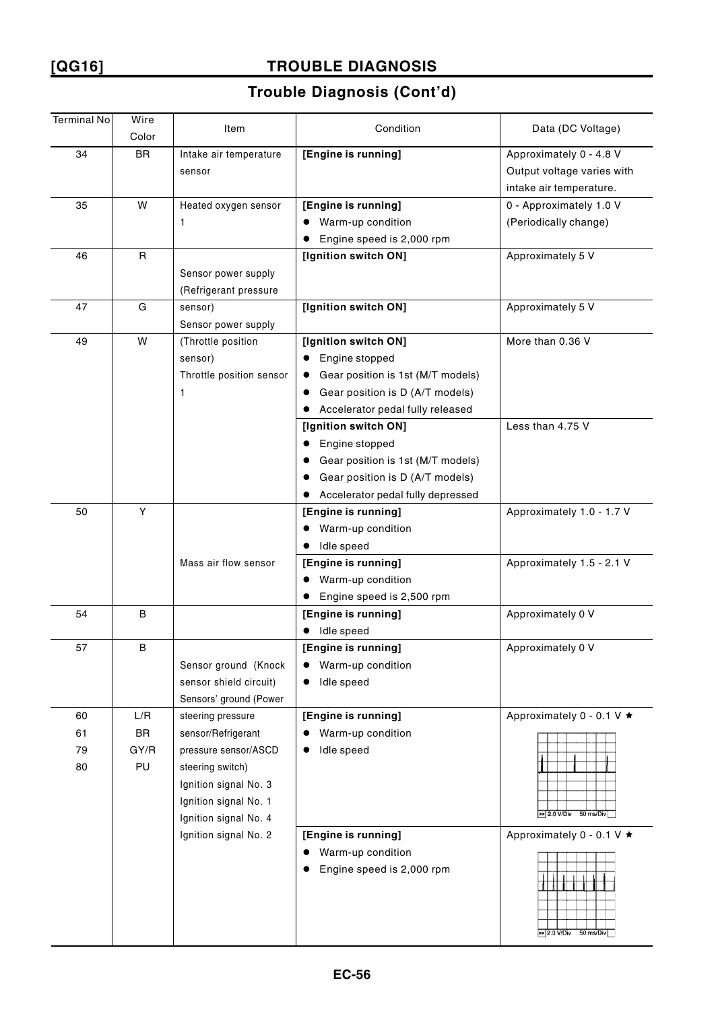# **[QG16] TROUBLE DIAGNOSIS**

| <b>Terminal No</b>   | Wire<br>Color           | Item                                                                                                                                                                                    | Condition                                                                                                                                           | Data (DC Voltage)                                                                |
|----------------------|-------------------------|-----------------------------------------------------------------------------------------------------------------------------------------------------------------------------------------|-----------------------------------------------------------------------------------------------------------------------------------------------------|----------------------------------------------------------------------------------|
| 34                   | <b>BR</b>               | Intake air temperature<br>sensor                                                                                                                                                        | [Engine is running]                                                                                                                                 | Approximately 0 - 4.8 V<br>Output voltage varies with<br>intake air temperature. |
| 35                   | W                       | Heated oxygen sensor<br>1                                                                                                                                                               | [Engine is running]<br>Warm-up condition<br>Engine speed is 2,000 rpm                                                                               | 0 - Approximately 1.0 V<br>(Periodically change)                                 |
| 46                   | $\mathsf{R}$            | Sensor power supply<br>(Refrigerant pressure                                                                                                                                            | [Ignition switch ON]                                                                                                                                | Approximately 5 V                                                                |
| 47                   | G                       | sensor)<br>Sensor power supply                                                                                                                                                          | [Ignition switch ON]                                                                                                                                | Approximately 5 V                                                                |
| 49                   | W                       | (Throttle position<br>sensor)<br>Throttle position sensor<br>$\mathbf{1}$                                                                                                               | [Ignition switch ON]<br>Engine stopped<br>Gear position is 1st (M/T models)<br>Gear position is D (A/T models)<br>Accelerator pedal fully released  | More than 0.36 V                                                                 |
|                      |                         |                                                                                                                                                                                         | [Ignition switch ON]<br>Engine stopped<br>Gear position is 1st (M/T models)<br>Gear position is D (A/T models)<br>Accelerator pedal fully depressed | Less than 4.75 V                                                                 |
| 50                   | Υ                       | Mass air flow sensor                                                                                                                                                                    | [Engine is running]<br>Warm-up condition<br>Idle speed<br>[Engine is running]<br>Warm-up condition                                                  | Approximately 1.0 - 1.7 V<br>Approximately 1.5 - 2.1 V                           |
| 54                   | B                       |                                                                                                                                                                                         | Engine speed is 2,500 rpm<br>[Engine is running]<br>Idle speed                                                                                      | Approximately 0 V                                                                |
| 57                   | B                       | Sensor ground (Knock<br>sensor shield circuit)<br>Sensors' ground (Power                                                                                                                | [Engine is running]<br>Warm-up condition<br>Idle speed                                                                                              | Approximately 0 V                                                                |
| 60<br>61<br>79<br>80 | L/R<br>BR<br>GY/R<br>PU | steering pressure<br>sensor/Refrigerant<br>pressure sensor/ASCD<br>steering switch)<br>Ignition signal No. 3<br>Ignition signal No. 1<br>Ignition signal No. 4<br>Ignition signal No. 2 | [Engine is running]<br>Warm-up condition<br>Idle speed<br>[Engine is running]                                                                       | Approximately 0 - 0.1 V ★<br>>> 2.0 V/Div 50 ms/Div<br>Approximately 0 - 0.1 V ★ |
|                      |                         |                                                                                                                                                                                         | Warm-up condition<br>Engine speed is 2,000 rpm                                                                                                      | $> 2.0 V/Div$ 50 ms/Div                                                          |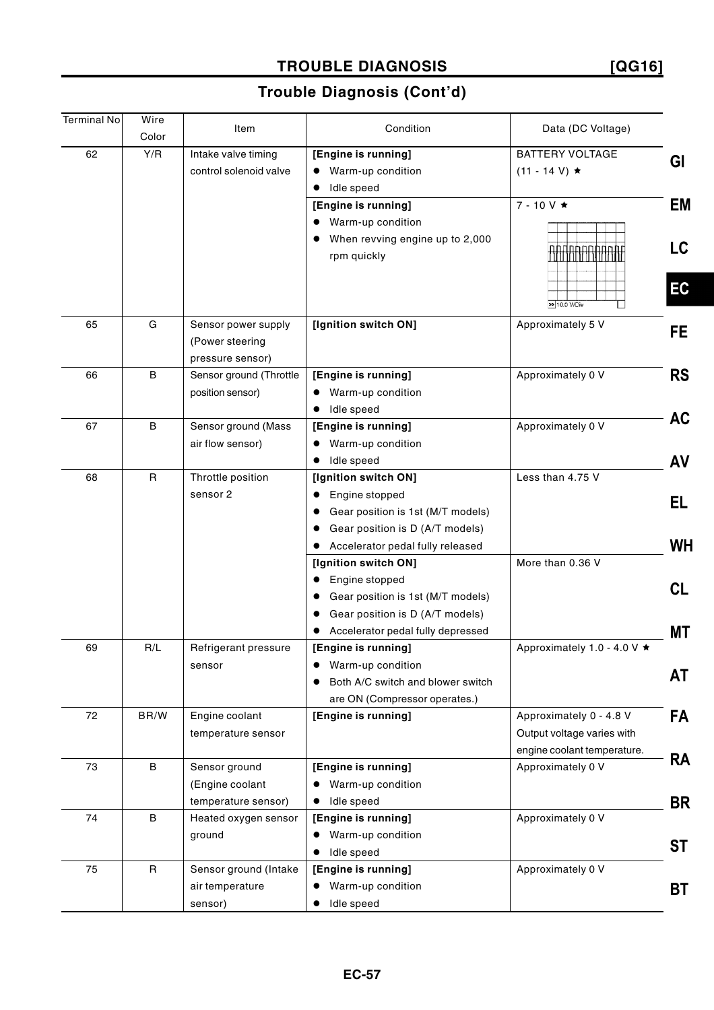### **TROUBLE DIAGNOSIS [QG16]**

| <b>Terminal No</b> | Wire         |                         | Condition                                      |                             |           |
|--------------------|--------------|-------------------------|------------------------------------------------|-----------------------------|-----------|
|                    | Color        | Item                    |                                                | Data (DC Voltage)           |           |
| 62                 | Y/R          | Intake valve timing     | [Engine is running]                            | <b>BATTERY VOLTAGE</b>      | GI        |
|                    |              | control solenoid valve  | • Warm-up condition                            | $(11 - 14 V) \star$         |           |
|                    |              |                         | Idle speed<br>$\bullet$                        |                             |           |
|                    |              |                         | [Engine is running]                            | $7 - 10V \star$             | EM        |
|                    |              |                         | • Warm-up condition                            |                             |           |
|                    |              |                         | When revving engine up to 2,000                |                             |           |
|                    |              |                         | rpm quickly                                    | <u>ANTANAAN</u>             | LC        |
|                    |              |                         |                                                |                             |           |
|                    |              |                         |                                                |                             | EC        |
|                    |              |                         |                                                | >> 10.0 V/Div               |           |
| 65                 | G            | Sensor power supply     | [Ignition switch ON]                           | Approximately 5 V           |           |
|                    |              | (Power steering         |                                                |                             | FE.       |
|                    |              | pressure sensor)        |                                                |                             |           |
| 66                 | B            | Sensor ground (Throttle | [Engine is running]                            | Approximately 0 V           | <b>RS</b> |
|                    |              | position sensor)        | • Warm-up condition                            |                             |           |
|                    |              |                         | Idle speed                                     |                             |           |
| 67                 | B            | Sensor ground (Mass     | [Engine is running]                            | Approximately 0 V           | <b>AC</b> |
|                    |              | air flow sensor)        | • Warm-up condition                            |                             |           |
|                    |              |                         | • Idle speed                                   |                             | AV        |
| 68                 | $\mathsf{R}$ | Throttle position       | [Ignition switch ON]                           | Less than 4.75 V            |           |
|                    |              | sensor <sub>2</sub>     | Engine stopped                                 |                             |           |
|                    |              |                         | Gear position is 1st (M/T models)<br>$\bullet$ |                             | EL        |
|                    |              |                         | Gear position is D (A/T models)<br>$\bullet$   |                             |           |
|                    |              |                         | • Accelerator pedal fully released             |                             | <b>WH</b> |
|                    |              |                         | [Ignition switch ON]                           | More than 0.36 V            |           |
|                    |              |                         | • Engine stopped                               |                             |           |
|                    |              |                         | Gear position is 1st (M/T models)<br>$\bullet$ |                             | CL        |
|                    |              |                         | Gear position is D (A/T models)<br>$\bullet$   |                             |           |
|                    |              |                         | • Accelerator pedal fully depressed            |                             | МT        |
| 69                 | R/L          | Refrigerant pressure    | [Engine is running]                            | Approximately 1.0 - 4.0 V ★ |           |
|                    |              | sensor                  | • Warm-up condition                            |                             |           |
|                    |              |                         | Both A/C switch and blower switch              |                             | AT        |
|                    |              |                         | are ON (Compressor operates.)                  |                             |           |
| 72                 | BR/W         | Engine coolant          | [Engine is running]                            | Approximately 0 - 4.8 V     | <b>FA</b> |
|                    |              | temperature sensor      |                                                | Output voltage varies with  |           |
|                    |              |                         |                                                | engine coolant temperature. |           |
| 73                 | B            | Sensor ground           | [Engine is running]                            | Approximately 0 V           | <b>RA</b> |
|                    |              | (Engine coolant         | • Warm-up condition                            |                             |           |
|                    |              | temperature sensor)     | Idle speed<br>$\bullet$                        |                             | <b>BR</b> |
| 74                 | $\sf B$      | Heated oxygen sensor    | [Engine is running]                            | Approximately 0 V           |           |
|                    |              | ground                  | • Warm-up condition                            |                             |           |
|                    |              |                         | Idle speed<br>$\bullet$                        |                             | <b>ST</b> |
| 75                 | R            | Sensor ground (Intake   | [Engine is running]                            | Approximately 0 V           |           |
|                    |              | air temperature         | Warm-up condition<br>$\bullet$                 |                             | ВT        |
|                    |              | sensor)                 | • Idle speed                                   |                             |           |
|                    |              |                         |                                                |                             |           |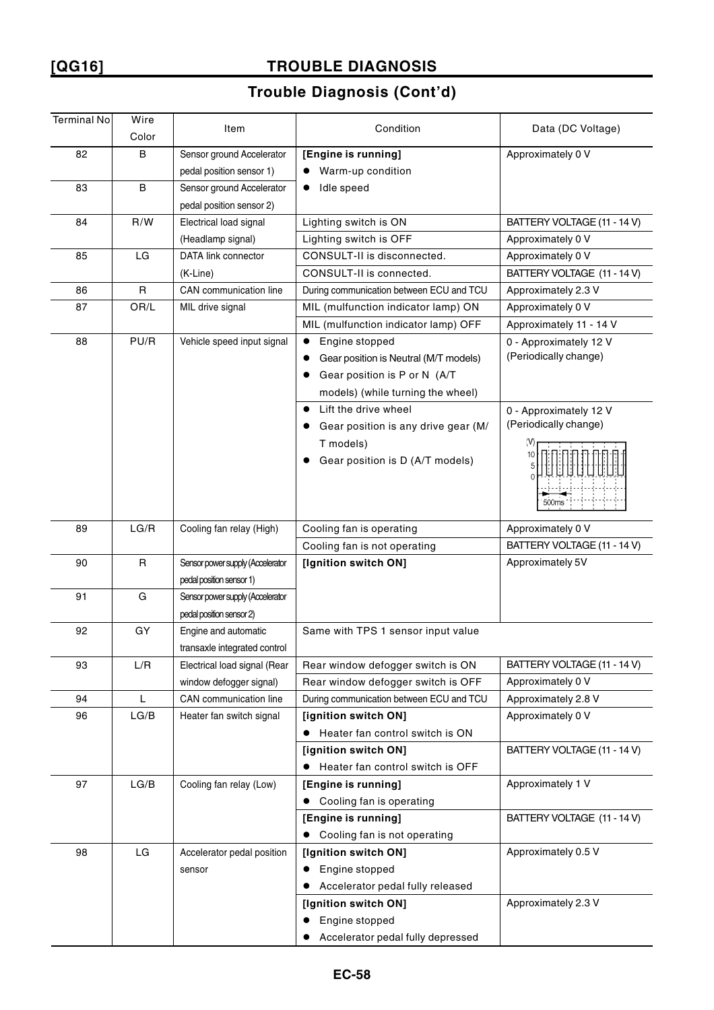# **[QG16] TROUBLE DIAGNOSIS**

| <b>Terminal No</b> | Wire        | Item                             | Condition                                | Data (DC Voltage)           |
|--------------------|-------------|----------------------------------|------------------------------------------|-----------------------------|
|                    | Color       |                                  |                                          |                             |
| 82                 | B           | Sensor ground Accelerator        | [Engine is running]                      | Approximately 0 V           |
|                    |             | pedal position sensor 1)         | Warm-up condition                        |                             |
| 83                 | B           | Sensor ground Accelerator        | Idle speed                               |                             |
|                    |             | pedal position sensor 2)         |                                          |                             |
| 84                 | R/W         | Electrical load signal           | Lighting switch is ON                    | BATTERY VOLTAGE (11 - 14 V) |
|                    |             | (Headlamp signal)                | Lighting switch is OFF                   | Approximately 0 V           |
| 85                 | LG          | <b>DATA link connector</b>       | CONSULT-II is disconnected.              | Approximately 0 V           |
|                    |             | (K-Line)                         | CONSULT-II is connected.                 | BATTERY VOLTAGE (11 - 14 V) |
| 86                 | $\mathsf R$ | CAN communication line           | During communication between ECU and TCU | Approximately 2.3 V         |
| 87                 | OR/L        | MIL drive signal                 | MIL (mulfunction indicator lamp) ON      | Approximately 0 V           |
|                    |             |                                  | MIL (mulfunction indicator lamp) OFF     | Approximately 11 - 14 V     |
| 88                 | PU/R        | Vehicle speed input signal       | Engine stopped<br>$\bullet$              | 0 - Approximately 12 V      |
|                    |             |                                  | Gear position is Neutral (M/T models)    | (Periodically change)       |
|                    |             |                                  | Gear position is P or N (A/T             |                             |
|                    |             |                                  | models) (while turning the wheel)        |                             |
|                    |             |                                  | Lift the drive wheel                     | 0 - Approximately 12 V      |
|                    |             |                                  | Gear position is any drive gear (M/      | (Periodically change)       |
|                    |             |                                  | T models)                                | (V)                         |
|                    |             |                                  | Gear position is D (A/T models)          |                             |
|                    |             |                                  |                                          |                             |
|                    |             |                                  |                                          | 500ms                       |
|                    |             |                                  |                                          |                             |
| 89                 | LG/R        | Cooling fan relay (High)         | Cooling fan is operating                 | Approximately 0 V           |
|                    |             |                                  | Cooling fan is not operating             | BATTERY VOLTAGE (11 - 14 V) |
| 90                 | R           | Sensor power supply (Accelerator | [Ignition switch ON]                     | Approximately 5V            |
|                    |             | pedal position sensor 1)         |                                          |                             |
| 91                 | G           | Sensor power supply (Accelerator |                                          |                             |
|                    |             | pedal position sensor 2)         |                                          |                             |
| 92                 | GY          | Engine and automatic             | Same with TPS 1 sensor input value       |                             |
|                    |             | transaxle integrated control     |                                          |                             |
| 93                 | L/R         | Electrical load signal (Rear     | Rear window defogger switch is ON        | BATTERY VOLTAGE (11 - 14 V) |
|                    |             | window defogger signal)          | Rear window defogger switch is OFF       | Approximately 0 V           |
| 94                 | L           | CAN communication line           | During communication between ECU and TCU | Approximately 2.8 V         |
| 96                 | LG/B        | Heater fan switch signal         | [ignition switch ON]                     | Approximately 0 V           |
|                    |             |                                  | Heater fan control switch is ON          |                             |
|                    |             |                                  | [ignition switch ON]                     | BATTERY VOLTAGE (11 - 14 V) |
|                    |             |                                  | Heater fan control switch is OFF         |                             |
| 97                 | LG/B        | Cooling fan relay (Low)          | [Engine is running]                      | Approximately 1 V           |
|                    |             |                                  | Cooling fan is operating                 |                             |
|                    |             |                                  | [Engine is running]                      | BATTERY VOLTAGE (11 - 14 V) |
|                    |             |                                  | Cooling fan is not operating             |                             |
| 98                 | LG          | Accelerator pedal position       | [Ignition switch ON]                     | Approximately 0.5 V         |
|                    |             | sensor                           | Engine stopped                           |                             |
|                    |             |                                  | Accelerator pedal fully released         |                             |
|                    |             |                                  | [Ignition switch ON]                     | Approximately 2.3 V         |
|                    |             |                                  | Engine stopped                           |                             |
|                    |             |                                  | Accelerator pedal fully depressed        |                             |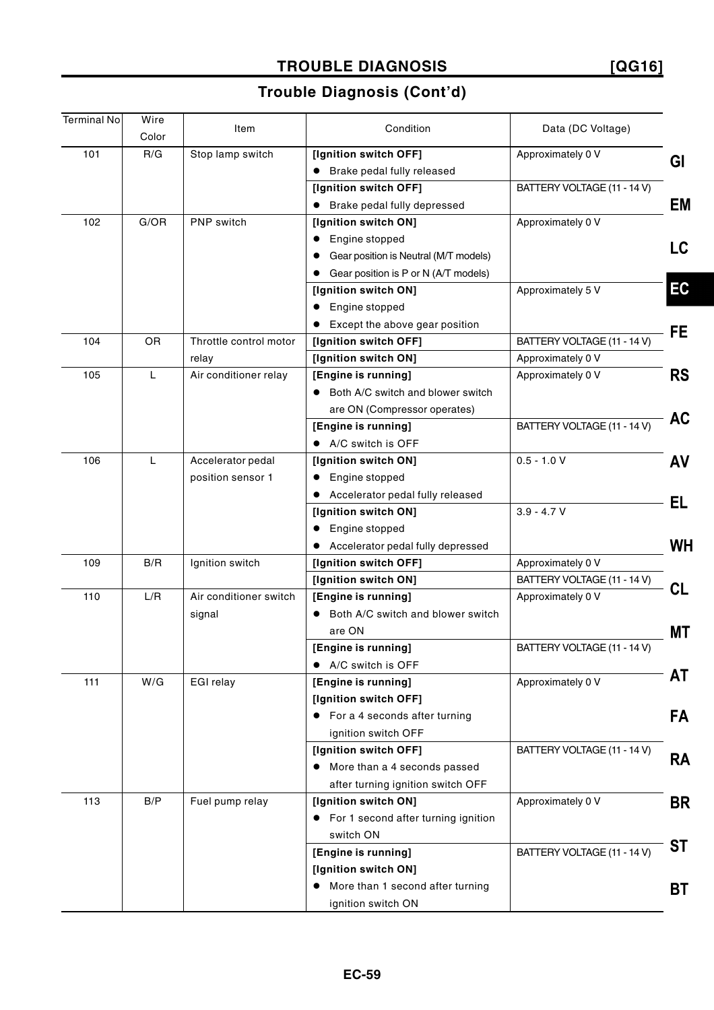### **TROUBLE DIAGNOSIS**

**[QG16]**

| <b>Terminal No</b> | Wire  |                        | Condition                                         |                             |           |
|--------------------|-------|------------------------|---------------------------------------------------|-----------------------------|-----------|
|                    | Color | Item                   |                                                   | Data (DC Voltage)           |           |
| 101                | R/G   | Stop lamp switch       | [Ignition switch OFF]                             | Approximately 0 V           | GI        |
|                    |       |                        | • Brake pedal fully released                      |                             |           |
|                    |       |                        | [Ignition switch OFF]                             | BATTERY VOLTAGE (11 - 14 V) |           |
|                    |       |                        | • Brake pedal fully depressed                     |                             | EM        |
| 102                | G/OR  | PNP switch             | [Ignition switch ON]                              | Approximately 0 V           |           |
|                    |       |                        | Engine stopped<br>$\bullet$                       |                             | LC.       |
|                    |       |                        | Gear position is Neutral (M/T models)             |                             |           |
|                    |       |                        | Gear position is P or N (A/T models)<br>$\bullet$ |                             |           |
|                    |       |                        | [Ignition switch ON]                              | Approximately 5 V           | EC        |
|                    |       |                        | Engine stopped                                    |                             |           |
|                    |       |                        | Except the above gear position                    |                             | FE        |
| 104                | OR    | Throttle control motor | [Ignition switch OFF]                             | BATTERY VOLTAGE (11 - 14 V) |           |
|                    |       | relay                  | [Ignition switch ON]                              | Approximately 0 V           |           |
| 105                | L     | Air conditioner relay  | [Engine is running]                               | Approximately 0 V           | <b>RS</b> |
|                    |       |                        | Both A/C switch and blower switch                 |                             |           |
|                    |       |                        | are ON (Compressor operates)                      |                             |           |
|                    |       |                        | [Engine is running]                               | BATTERY VOLTAGE (11 - 14 V) | AC        |
|                    |       |                        | • A/C switch is OFF                               |                             |           |
| 106                | L     | Accelerator pedal      | [Ignition switch ON]                              | $0.5 - 1.0 V$               | AV        |
|                    |       | position sensor 1      | • Engine stopped                                  |                             |           |
|                    |       |                        | • Accelerator pedal fully released                |                             | EL        |
|                    |       |                        | [Ignition switch ON]                              | $3.9 - 4.7 V$               |           |
|                    |       |                        | Engine stopped<br>$\bullet$                       |                             |           |
|                    |       |                        | • Accelerator pedal fully depressed               |                             | <b>WH</b> |
| 109                | B/R   | Ignition switch        | [Ignition switch OFF]                             | Approximately 0 V           |           |
|                    |       |                        | [Ignition switch ON]                              | BATTERY VOLTAGE (11 - 14 V) | CL        |
| 110                | L/R   | Air conditioner switch | [Engine is running]                               | Approximately 0 V           |           |
|                    |       | signal                 | • Both A/C switch and blower switch               |                             |           |
|                    |       |                        | are ON                                            |                             | МT        |
|                    |       |                        | [Engine is running]                               | BATTERY VOLTAGE (11 - 14 V) |           |
|                    |       |                        | • A/C switch is OFF                               |                             |           |
| 111                | W/G   | EGI relay              | [Engine is running]                               | Approximately 0 V           | AT        |
|                    |       |                        | [Ignition switch OFF]                             |                             |           |
|                    |       |                        | $\bullet$ For a 4 seconds after turning           |                             | FA        |
|                    |       |                        | ignition switch OFF                               |                             |           |
|                    |       |                        | [Ignition switch OFF]                             | BATTERY VOLTAGE (11 - 14 V) | <b>RA</b> |
|                    |       |                        | • More than a 4 seconds passed                    |                             |           |
|                    |       |                        | after turning ignition switch OFF                 |                             |           |
| 113                | B/P   | Fuel pump relay        | [Ignition switch ON]                              | Approximately 0 V           | <b>BR</b> |
|                    |       |                        | • For 1 second after turning ignition             |                             |           |
|                    |       |                        | switch ON                                         |                             |           |
|                    |       |                        | [Engine is running]                               | BATTERY VOLTAGE (11 - 14 V) | ST        |
|                    |       |                        | [Ignition switch ON]                              |                             |           |
|                    |       |                        | More than 1 second after turning<br>$\bullet$     |                             | BT        |
|                    |       |                        | ignition switch ON                                |                             |           |